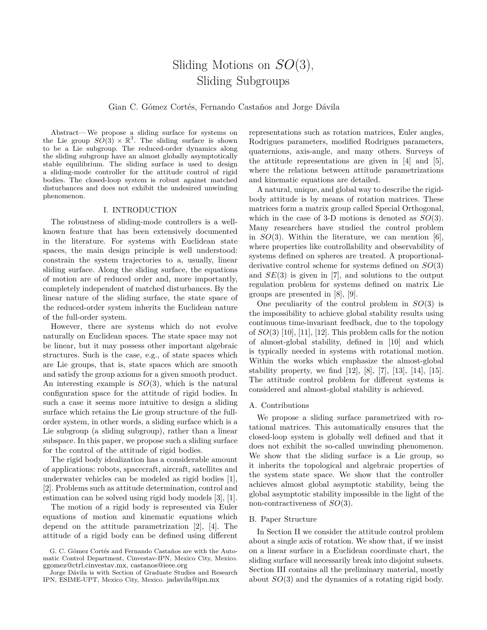# Sliding Motions on *SO*(3), Sliding Subgroups

### Gian C. Gómez Cortés, Fernando Castaños and Jorge Dávila

Abstract— We propose a sliding surface for systems on the Lie group  $SO(3) \times \mathbb{R}^3$ . The sliding surface is shown to be a Lie subgroup. The reduced-order dynamics along the sliding subgroup have an almost globally asymptotically stable equilibrium. The sliding surface is used to design a sliding-mode controller for the attitude control of rigid bodies. The closed-loop system is robust against matched disturbances and does not exhibit the undesired unwinding phenomenon.

### I. INTRODUCTION

The robustness of sliding-mode controllers is a wellknown feature that has been extensively documented in the literature. For systems with Euclidean state spaces, the main design principle is well understood: constrain the system trajectories to a, usually, linear sliding surface. Along the sliding surface, the equations of motion are of reduced order and, more importantly, completely independent of matched disturbances. By the linear nature of the sliding surface, the state space of the reduced-order system inherits the Euclidean nature of the full-order system.

However, there are systems which do not evolve naturally on Euclidean spaces. The state space may not be linear, but it may possess other important algebraic structures. Such is the case, e.g., of state spaces which are Lie groups, that is, state spaces which are smooth and satisfy the group axioms for a given smooth product. An interesting example is *SO*(3), which is the natural configuration space for the attitude of rigid bodies. In such a case it seems more intuitive to design a sliding surface which retains the Lie group structure of the fullorder system, in other words, a sliding surface which is a Lie subgroup (a sliding subgroup), rather than a linear subspace. In this paper, we propose such a sliding surface for the control of the attitude of rigid bodies.

The rigid body idealization has a considerable amount of applications: robots, spacecraft, aircraft, satellites and underwater vehicles can be modeled as rigid bodies [1], [2]. Problems such as attitude determination, control and estimation can be solved using rigid body models [3], [1].

The motion of a rigid body is represented via Euler equations of motion and kinematic equations which depend on the attitude parametrization [2], [4]. The attitude of a rigid body can be defined using different

representations such as rotation matrices, Euler angles, Rodrigues parameters, modified Rodrigues parameters, quaternions, axis-angle, and many others. Surveys of the attitude representations are given in [4] and [5], where the relations between attitude parametrizations and kinematic equations are detailed.

A natural, unique, and global way to describe the rigidbody attitude is by means of rotation matrices. These matrices form a matrix group called Special Orthogonal, which in the case of 3-D motions is denoted as *SO*(3). Many researchers have studied the control problem in  $SO(3)$ . Within the literature, we can mention [6], where properties like controllability and observability of systems defined on spheres are treated. A proportionalderivative control scheme for systems defined on *SO*(3) and *SE*(3) is given in [7], and solutions to the output regulation problem for systems defined on matrix Lie groups are presented in [8], [9].

One peculiarity of the control problem in *SO*(3) is the impossibility to achieve global stability results using continuous time-invariant feedback, due to the topology of *SO*(3) [10], [11], [12]. This problem calls for the notion of almost-global stability, defined in [10] and which is typically needed in systems with rotational motion. Within the works which emphasize the almost-global stability property, we find [12], [8], [7], [13], [14], [15]. The attitude control problem for different systems is considered and almost-global stability is achieved.

### A. Contributions

We propose a sliding surface parametrized with rotational matrices. This automatically ensures that the closed-loop system is globally well defined and that it does not exhibit the so-called unwinding phenomenon. We show that the sliding surface is a Lie group, so it inherits the topological and algebraic properties of the system state space. We show that the controller achieves almost global asymptotic stability, being the global asymptotic stability impossible in the light of the non-contractiveness of *SO*(3).

### B. Paper Structure

In Section II we consider the attitude control problem about a single axis of rotation. We show that, if we insist on a linear surface in a Euclidean coordinate chart, the sliding surface will necessarily break into disjoint subsets. Section III contains all the preliminary material, mostly about *SO*(3) and the dynamics of a rotating rigid body.

G. C. Gómez Cortés and Fernando Castaños are with the Automatic Control Department, Cinvestav-IPN, Mexico City, Mexico. ggomez@ctrl.cinvestav.mx, castanos@ieee.org

Jorge Dávila is with Section of Graduate Studies and Research IPN, ESIME-UPT, Mexico City, Mexico. jadavila@ipn.mx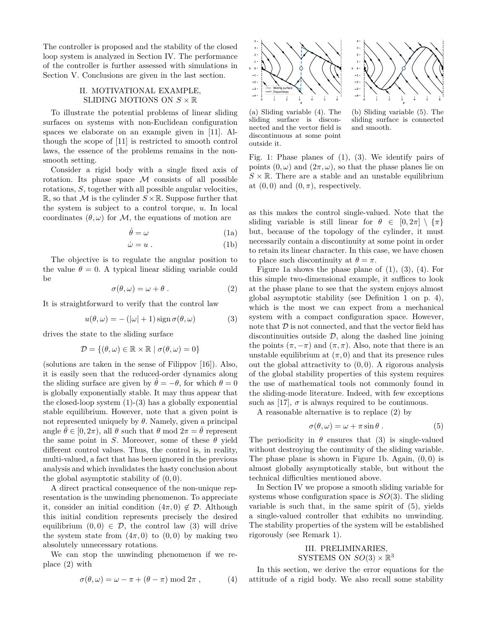The controller is proposed and the stability of the closed loop system is analyzed in Section IV. The performance of the controller is further assessed with simulations in Section V. Conclusions are given in the last section.

# II. MOTIVATIONAL EXAMPLE, SLIDING MOTIONS ON  $S \times \mathbb{R}$

To illustrate the potential problems of linear sliding surfaces on systems with non-Euclidean configuration spaces we elaborate on an example given in [11]. Although the scope of [11] is restricted to smooth control laws, the essence of the problems remains in the nonsmooth setting.

Consider a rigid body with a single fixed axis of rotation. Its phase space *M* consists of all possible rotations, *S*, together with all possible angular velocities, R, so that M is the cylinder  $S \times \mathbb{R}$ . Suppose further that the system is subject to a control torque, *u*. In local coordinates  $(\theta, \omega)$  for *M*, the equations of motion are

$$
\dot{\theta} = \omega \tag{1a}
$$

$$
\dot{\omega} = u \tag{1b}
$$

The objective is to regulate the angular position to the value  $\theta = 0$ . A typical linear sliding variable could be

$$
\sigma(\theta,\omega) = \omega + \theta. \tag{2}
$$

It is straightforward to verify that the control law

$$
u(\theta, \omega) = -(\vert \omega \vert + 1) \operatorname{sign} \sigma(\theta, \omega) \tag{3}
$$

drives the state to the sliding surface

$$
\mathcal{D} = \{(\theta, \omega) \in \mathbb{R} \times \mathbb{R} \mid \sigma(\theta, \omega) = 0\}
$$

(solutions are taken in the sense of Filippov [16]). Also, it is easily seen that the reduced-order dynamics along the sliding surface are given by  $\theta = -\theta$ , for which  $\theta = 0$ is globally exponentially stable. It may thus appear that the closed-loop system  $(1)-(3)$  has a globally exponential stable equilibrium. However, note that a given point is not represented uniquely by  $\theta$ . Namely, given a principal angle  $\theta \in [0, 2\pi)$ , all  $\theta$  such that  $\theta$  mod  $2\pi = \theta$  represent the same point in *S*. Moreover, some of these  $\theta$  yield different control values. Thus, the control is, in reality, multi-valued, a fact that has been ignored in the previous analysis and which invalidates the hasty conclusion about the global asymptotic stability of (0*,* 0).

A direct practical consequence of the non-unique representation is the unwinding phenomenon. To appreciate it, consider an initial condition  $(4\pi, 0) \notin \mathcal{D}$ . Although this initial condition represents precisely the desired equilibrium  $(0,0) \in \mathcal{D}$ , the control law (3) will drive the system state from  $(4\pi, 0)$  to  $(0, 0)$  by making two absolutely unnecessary rotations.

We can stop the unwinding phenomenon if we replace (2) with

$$
\sigma(\theta,\omega) = \omega - \pi + (\theta - \pi) \bmod 2\pi , \qquad (4)
$$





(a) Sliding variable (4). The sliding surface is disconnected and the vector field is discontinuous at some point outside it.

(b) Sliding variable (5). The sliding surface is connected and smooth.

Fig. 1: Phase planes of (1), (3). We identify pairs of points  $(0, \omega)$  and  $(2\pi, \omega)$ , so that the phase planes lie on  $S \times \mathbb{R}$ . There are a stable and an unstable equilibrium at  $(0,0)$  and  $(0,\pi)$ , respectively.

as this makes the control single-valued. Note that the sliding variable is still linear for  $\theta \in [0, 2\pi] \setminus {\pi}$ but, because of the topology of the cylinder, it must necessarily contain a discontinuity at some point in order to retain its linear character. In this case, we have chosen to place such discontinuity at  $\theta = \pi$ .

Figure 1a shows the phase plane of  $(1)$ ,  $(3)$ ,  $(4)$ . For this simple two-dimensional example, it suffices to look at the phase plane to see that the system enjoys almost global asymptotic stability (see Definition 1 on p. 4), which is the most we can expect from a mechanical system with a compact configuration space. However, note that  $D$  is not connected, and that the vector field has discontinuities outside  $D$ , along the dashed line joining the points  $(\pi, -\pi)$  and  $(\pi, \pi)$ . Also, note that there is an unstable equilibrium at  $(\pi, 0)$  and that its presence rules out the global attractivity to (0*,* 0). A rigorous analysis of the global stability properties of this system requires the use of mathematical tools not commonly found in the sliding-mode literature. Indeed, with few exceptions such as [17],  $\sigma$  is always required to be continuous.

A reasonable alternative is to replace (2) by

$$
\sigma(\theta,\omega) = \omega + \pi \sin \theta \,. \tag{5}
$$

The periodicity in  $\theta$  ensures that (3) is single-valued without destroying the continuity of the sliding variable. The phase plane is shown in Figure 1b. Again, (0*,* 0) is almost globally asymptotically stable, but without the technical difficulties mentioned above.

In Section IV we propose a smooth sliding variable for systems whose configuration space is *SO*(3). The sliding variable is such that, in the same spirit of (5), yields a single-valued controller that exhibits no unwinding. The stability properties of the system will be established rigorously (see Remark 1).

# III. PRELIMINARIES, SYSTEMS ON  $SO(3) \times \mathbb{R}^3$

In this section, we derive the error equations for the attitude of a rigid body. We also recall some stability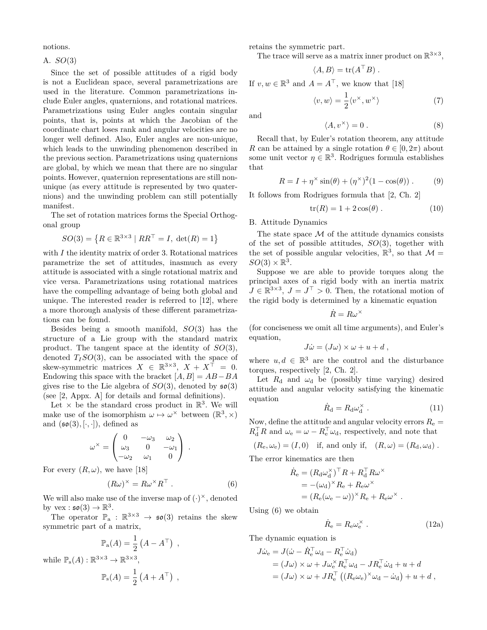notions.

A. *SO*(3)

Since the set of possible attitudes of a rigid body is not a Euclidean space, several parametrizations are used in the literature. Common parametrizations include Euler angles, quaternions, and rotational matrices. Parametrizations using Euler angles contain singular points, that is, points at which the Jacobian of the coordinate chart loses rank and angular velocities are no longer well defined. Also, Euler angles are non-unique, which leads to the unwinding phenomenon described in the previous section. Parametrizations using quaternions are global, by which we mean that there are no singular points. However, quaternion representations are still nonunique (as every attitude is represented by two quaternions) and the unwinding problem can still potentially manifest.

The set of rotation matrices forms the Special Orthogonal group

$$
SO(3) = \{ R \in \mathbb{R}^{3 \times 3} \mid RR^{\top} = I, \ \det(R) = 1 \}
$$

with *I* the identity matrix of order 3. Rotational matrices parametrize the set of attitudes, inasmuch as every attitude is associated with a single rotational matrix and vice versa. Parametrizations using rotational matrices have the compelling advantage of being both global and unique. The interested reader is referred to [12], where a more thorough analysis of these different parametrizations can be found.

Besides being a smooth manifold, *SO*(3) has the structure of a Lie group with the standard matrix product. The tangent space at the identity of *SO*(3), denoted  $T_I$ *SO*(3), can be associated with the space of skew-symmetric matrices  $X \in \mathbb{R}^{3 \times 3}$ ,  $X + X^{\top} = 0$ . Endowing this space with the bracket [*A, B*] = *AB−BA* gives rise to the Lie algebra of  $SO(3)$ , denoted by  $\mathfrak{so}(3)$ (see [2, Appx. A] for details and formal definitions).

Let  $\times$  be the standard cross product in  $\mathbb{R}^3$ . We will make use of the isomorphism  $\omega \mapsto \omega^{\times}$  between  $(\mathbb{R}^3, \times)$ and  $(\mathfrak{so}(3), [\cdot, \cdot])$ , defined as

$$
\omega^{\times} = \begin{pmatrix} 0 & -\omega_3 & \omega_2 \\ \omega_3 & 0 & -\omega_1 \\ -\omega_2 & \omega_1 & 0 \end{pmatrix} .
$$

For every  $(R, \omega)$ , we have [18]

$$
(R\omega)^{\times} = R\omega^{\times} R^{\top} . \tag{6}
$$

We will also make use of the inverse map of  $(\cdot)^{\times}$ , denoted by  $\text{vex} : \mathfrak{so}(3) \to \mathbb{R}^3$ .

The operator  $\mathbb{P}_{a} : \mathbb{R}^{3 \times 3} \to \mathfrak{so}(3)$  retains the skew symmetric part of a matrix,

$$
\mathbb{P}_{\mathbf{a}}(A) = \frac{1}{2} (A - A^{\top}) ,
$$
 while 
$$
\mathbb{P}_{\mathbf{s}}(A) : \mathbb{R}^{3 \times 3} \to \mathbb{R}^{3 \times 3},
$$

$$
\mathbb{P}_{\mathbf{s}}(A) = \frac{1}{2} (A + A^{\top}) ,
$$

retains the symmetric part.

The trace will serve as a matrix inner product on  $\mathbb{R}^{3\times3}$ ,

$$
\langle A, B \rangle = \text{tr}(A^{\top}B) .
$$

If  $v, w \in \mathbb{R}^3$  and  $A = A^{\top}$ , we know that [18]

$$
\langle v, w \rangle = \frac{1}{2} \langle v^{\times}, w^{\times} \rangle \tag{7}
$$

and

$$
\langle A, v^{\times} \rangle = 0. \tag{8}
$$

Recall that, by Euler's rotation theorem, any attitude *R* can be attained by a single rotation  $\theta \in [0, 2\pi)$  about some unit vector  $\eta \in \mathbb{R}^3$ . Rodrigues formula establishes that

$$
R = I + \eta^{\times} \sin(\theta) + (\eta^{\times})^2 (1 - \cos(\theta)).
$$
 (9)

It follows from Rodrigues formula that [2, Ch. 2]

$$
tr(R) = 1 + 2\cos(\theta) . \qquad (10)
$$

B. Attitude Dynamics

The state space  $\mathcal M$  of the attitude dynamics consists of the set of possible attitudes, *SO*(3), together with the set of possible angular velocities,  $\mathbb{R}^3$ , so that  $\mathcal{M} =$  $SO(3) \times \mathbb{R}^3$ .

Suppose we are able to provide torques along the principal axes of a rigid body with an inertia matrix  $J \in \mathbb{R}^{3 \times 3}$ ,  $J = J^{\top} > 0$ . Then, the rotational motion of the rigid body is determined by a kinematic equation

$$
\dot{R}=R\omega^\times
$$

(for conciseness we omit all time arguments), and Euler's equation,

$$
J\dot{\omega} = (J\omega) \times \omega + u + d \ ,
$$

where  $u, d \in \mathbb{R}^3$  are the control and the disturbance torques, respectively [2, Ch. 2].

Let  $R_d$  and  $\omega_d$  be (possibly time varying) desired attitude and angular velocity satisfying the kinematic equation

$$
\dot{R}_{\rm d} = R_{\rm d} \omega_{\rm d}^{\times} \ . \tag{11}
$$

Now, define the attitude and angular velocity errors  $R_e$  $R_d^{\dagger} R$  and  $\omega_e = \omega - R_e^{\dagger} \omega_d$ , respectively, and note that

$$
(R_{\rm e},\omega_{\rm e})=(I,0) \quad \text{if, and only if,} \quad (R,\omega)=(R_{\rm d},\omega_{\rm d})\;.
$$

The error kinematics are then

$$
\dot{R}_{e} = (R_{d}\omega_{d}^{\times})^{\top}R + R_{d}^{\top}R\omega^{\times}
$$
  
= -(\omega\_{d})^{\times}R\_{e} + R\_{e}\omega^{\times}  
= (R\_{e}(\omega\_{e} - \omega))^{\times}R\_{e} + R\_{e}\omega^{\times}.

Using (6) we obtain

$$
\dot{R}_{\rm e} = R_{\rm e} \omega_{\rm e}^{\times} \tag{12a}
$$

The dynamic equation is

$$
J\dot{\omega}_{e} = J(\dot{\omega} - \dot{R}_{e}^{\top}\omega_{d} - R_{e}^{\top}\dot{\omega}_{d})
$$
  
=  $(J\omega) \times \omega + J\omega_{e}^{\times} R_{e}^{\top}\omega_{d} - J R_{e}^{\top}\dot{\omega}_{d} + u + d$   
=  $(J\omega) \times \omega + J R_{e}^{\top} ((R_{e}\omega_{e})^{\times}\omega_{d} - \dot{\omega}_{d}) + u + d$ ,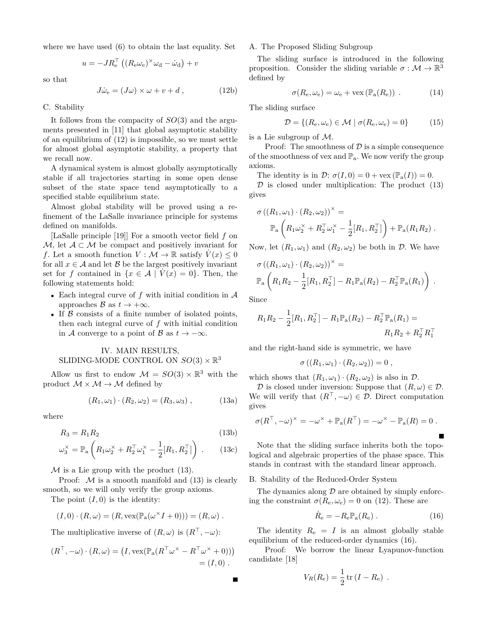where we have used (6) to obtain the last equality. Set

$$
u = -JR_{\rm e}^{\perp}((R_{\rm e}\omega_{\rm e})^{\times}\omega_{\rm d} - \dot{\omega}_{\rm d}) + v
$$

so that

$$
J\dot{\omega}_e = (J\omega) \times \omega + v + d , \qquad (12b)
$$

# C. Stability

It follows from the compacity of *SO*(3) and the arguments presented in [11] that global asymptotic stability of an equilibrium of (12) is impossible, so we must settle for almost global asymptotic stability, a property that we recall now.

A dynamical system is almost globally asymptotically stable if all trajectories starting in some open dense subset of the state space tend asymptotically to a specified stable equilibrium state.

Almost global stability will be proved using a refinement of the LaSalle invariance principle for systems defined on manifolds.

[LaSalle principle [19]] For a smooth vector field *f* on *M*, let *A* ⊂ *M* be compact and positively invariant for *f*. Let a smooth function  $V : \mathcal{M} \to \mathbb{R}$  satisfy  $V(x) \leq 0$ for all  $x \in A$  and let *B* be the largest positively invariant set for *f* contained in  $\{x \in \mathcal{A} \mid V(x) = 0\}$ . Then, the following statements hold:

- *•* Each integral curve of *f* with initial condition in *A* approaches  $\beta$  as  $t \to +\infty$ .
- *•* If *B* consists of a finite number of isolated points, then each integral curve of *f* with initial condition in *A* converge to a point of *B* as  $t \to -\infty$ .

# IV. MAIN RESULTS, SLIDING-MODE CONTROL ON  $SO(3) \times \mathbb{R}^3$

Allow us first to endow  $\mathcal{M} = SO(3) \times \mathbb{R}^3$  with the product  $M \times M \rightarrow M$  defined by

$$
(R_1, \omega_1) \cdot (R_2, \omega_2) = (R_3, \omega_3) , \qquad (13a)
$$

where

$$
R_3 = R_1 R_2 \tag{13b}
$$

$$
\omega_3^\times = \mathbb{P}_a \left( R_1 \omega_2^\times + R_2^\top \omega_1^\times - \frac{1}{2} [R_1, R_2^\top] \right) \,. \tag{13c}
$$

 $M$  is a Lie group with the product  $(13)$ .

Proof:  $M$  is a smooth manifold and  $(13)$  is clearly smooth, so we will only verify the group axioms.

The point  $(I, 0)$  is the identity:

$$
(I,0)\cdot (R,\omega)=(R,\mathrm{vex}(\mathbb{P}_a(\omega^{\times}I+0)))=(R,\omega).
$$

The multiplicative inverse of  $(R, \omega)$  is  $(R^{\top}, -\omega)$ :

$$
(R^{\top}, -\omega) \cdot (R, \omega) = (I, \text{vex}(\mathbb{P}_{\mathbf{a}}(R^{\top} \omega^{\times} - R^{\top} \omega^{\times} + 0)))
$$
  
= (I, 0).

# A. The Proposed Sliding Subgroup

The sliding surface is introduced in the following proposition. Consider the sliding variable  $\sigma : \mathcal{M} \to \mathbb{R}^3$ defined by

$$
\sigma(R_{\rm e}, \omega_{\rm e}) = \omega_{\rm e} + \text{vex}(\mathbb{P}_{\rm a}(R_{\rm e}))\ . \tag{14}
$$

The sliding surface

$$
\mathcal{D} = \{ (R_e, \omega_e) \in \mathcal{M} \mid \sigma(R_e, \omega_e) = 0 \}
$$
 (15)

is a Lie subgroup of *M*.

Proof: The smoothness of  $\mathcal D$  is a simple consequence of the smoothness of vex and  $\mathbb{P}_a$ . We now verify the group axioms.

The identity is in  $\mathcal{D}$ :  $\sigma(I, 0) = 0 + \text{vex}(\mathbb{P}_{\text{a}}(I)) = 0$ .

 $D$  is closed under multiplication: The product  $(13)$ gives

$$
\sigma ((R_1, \omega_1) \cdot (R_2, \omega_2))^{\times} =
$$
  

$$
\mathbb{P}_a \left( R_1 \omega_2^{\times} + R_2^{\top} \omega_1^{\times} - \frac{1}{2} [R_1, R_2^{\top}] \right) + \mathbb{P}_a (R_1 R_2).
$$

Now, let  $(R_1, \omega_1)$  and  $(R_2, \omega_2)$  be both in *D*. We have

$$
\sigma((R_1, \omega_1) \cdot (R_2, \omega_2))^{\times} =
$$
  

$$
\mathbb{P}_a \left( R_1 R_2 - \frac{1}{2} [R_1, R_2^{\top}] - R_1 \mathbb{P}_a(R_2) - R_2^{\top} \mathbb{P}_a(R_1) \right).
$$

Since

$$
R_1 R_2 - \frac{1}{2} [R_1, R_2^\top] - R_1 \mathbb{P}_a(R_2) - R_2^\top \mathbb{P}_a(R_1) =
$$
  

$$
R_1 R_2 + R_2^\top R_1^\top
$$

and the right-hand side is symmetric, we have

$$
\sigma ((R_1, \omega_1) \cdot (R_2, \omega_2)) = 0 ,
$$

which shows that  $(R_1, \omega_1) \cdot (R_2, \omega_2)$  is also in  $\mathcal{D}$ .

*D* is closed under inversion: Suppose that  $(R, \omega) \in \mathcal{D}$ . We will verify that  $(R^{\top}, -\omega) \in \mathcal{D}$ . Direct computation gives

$$
\sigma(R^{\top}, -\omega)^{\times} = -\omega^{\times} + \mathbb{P}_{a}(R^{\top}) = -\omega^{\times} - \mathbb{P}_{a}(R) = 0.
$$

Note that the sliding surface inherits both the topological and algebraic properties of the phase space. This stands in contrast with the standard linear approach.

#### B. Stability of the Reduced-Order System

The dynamics along  $\mathcal D$  are obtained by simply enforcing the constraint  $\sigma(R_e, \omega_e) = 0$  on (12). These are

$$
\dot{R}_{\rm e} = -R_{\rm e} \mathbb{P}_{\rm a}(R_{\rm e})\ . \tag{16}
$$

The identity  $R_e = I$  is an almost globally stable equilibrium of the reduced-order dynamics (16).

Proof: We borrow the linear Lyapunov-function candidate [18]

$$
V_R(R_e) = \frac{1}{2} \operatorname{tr} (I - R_e) .
$$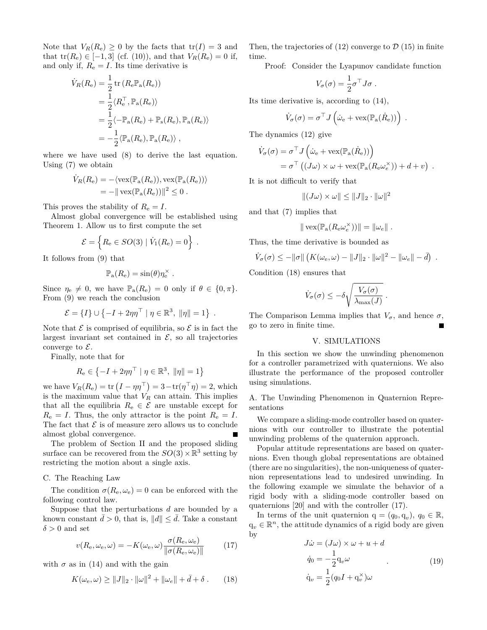Note that  $V_R(R_e) \geq 0$  by the facts that  $tr(I) = 3$  and that  $tr(R_e) \in [-1, 3]$  (cf. (10)), and that  $V_R(R_e) = 0$  if, and only if,  $R_e = I$ . Its time derivative is

$$
\dot{V}_R(R_e) = \frac{1}{2} \operatorname{tr} (R_e \mathbb{P}_a(R_e))
$$
  
=  $\frac{1}{2} \langle R_e^{\top}, \mathbb{P}_a(R_e) \rangle$   
=  $\frac{1}{2} \langle -\mathbb{P}_a(R_e) + \mathbb{P}_s(R_e), \mathbb{P}_a(R_e) \rangle$   
=  $-\frac{1}{2} \langle \mathbb{P}_a(R_e), \mathbb{P}_a(R_e) \rangle$ ,

where we have used (8) to derive the last equation. Using (7) we obtain

$$
\dot{V}_R(R_e) = -\langle \text{vex}(\mathbb{P}_a(R_e)), \text{vex}(\mathbb{P}_a(R_e)) \rangle \n= - || \text{vex}(\mathbb{P}_a(R_e)) ||^2 \leq 0.
$$

This proves the stability of  $R_e = I$ .

Almost global convergence will be established using Theorem 1. Allow us to first compute the set

$$
\mathcal{E} = \left\{ R_e \in SO(3) \mid \dot{V}_1(R_e) = 0 \right\} .
$$

It follows from (9) that

$$
\mathbb{P}_{\rm a}(R_{\rm e})=\sin(\theta)\eta_{\rm e}^{\times}.
$$

Since  $\eta_e \neq 0$ , we have  $\mathbb{P}_a(R_e) = 0$  only if  $\theta \in \{0, \pi\}$ . From (9) we reach the conclusion

$$
\mathcal{E} = \{I\} \cup \{-I + 2\eta\eta^\top \mid \eta \in \mathbb{R}^3, \ \|\eta\| = 1\} \ .
$$

Note that  $\mathcal E$  is comprised of equilibria, so  $\mathcal E$  is in fact the largest invariant set contained in  $\mathcal{E}$ , so all trajectories converge to *E*.

Finally, note that for

$$
R_{\rm e} \in \left\{-I + 2\eta\eta^\top \mid \eta \in \mathbb{R}^3, \ \|\eta\| = 1\right\}
$$

we have  $V_R(R_e) = \text{tr} (I - \eta \eta^\top) = 3 - \text{tr}(\eta^\top \eta) = 2$ , which is the maximum value that  $V_R$  can attain. This implies that all the equilibria  $R_e \in \mathcal{E}$  are unstable except for  $R_e = I$ . Thus, the only attractor is the point  $R_e = I$ . The fact that  $\mathcal E$  is of measure zero allows us to conclude almost global convergence.

The problem of Section II and the proposed sliding surface can be recovered from the  $SO(3) \times \mathbb{R}^3$  setting by restricting the motion about a single axis.

# C. The Reaching Law

The condition  $\sigma(R_e, \omega_e) = 0$  can be enforced with the following control law.

Suppose that the perturbations *d* are bounded by a known constant  $d > 0$ , that is,  $||d|| \leq d$ . Take a constant  $\delta > 0$  and set

$$
v(R_{\rm e}, \omega_{\rm e}, \omega) = -K(\omega_{\rm e}, \omega) \frac{\sigma(R_{\rm e}, \omega_{\rm e})}{\|\sigma(R_{\rm e}, \omega_{\rm e})\|} \tag{17}
$$

with  $\sigma$  as in (14) and with the gain

$$
K(\omega_{e}, \omega) \ge ||J||_{2} \cdot ||\omega||^{2} + ||\omega_{e}|| + \bar{d} + \delta . \qquad (18)
$$

Then, the trajectories of  $(12)$  converge to  $\mathcal{D}(15)$  in finite time.

Proof: Consider the Lyapunov candidate function

$$
V_{\sigma}(\sigma) = \frac{1}{2} \sigma^{\top} J \sigma.
$$

Its time derivative is, according to (14),

$$
\dot{V}_{\sigma}(\sigma) = \sigma^{\top} J\left(\dot{\omega}_{e} + \text{vex}(\mathbb{P}_{a}(\dot{R}_{e}))\right) .
$$

The dynamics (12) give

$$
\dot{V}_{\sigma}(\sigma) = \sigma^{\top} J\left(\dot{\omega}_{e} + \text{vex}(\mathbb{P}_{a}(\dot{R}_{e}))\right)
$$
  
=  $\sigma^{\top} ((J\omega) \times \omega + \text{vex}(\mathbb{P}_{a}(R_{e}\omega_{e}^{\times})) + d + v)$ .

It is not difficult to verify that

$$
|| (J\omega) \times \omega || \le ||J||_2 \cdot ||\omega||^2
$$

and that (7) implies that

$$
\|\operatorname{vex}(\mathbb{P}_{\mathrm{a}}(R_{\mathrm{e}}\omega_e^{\times}))\| = \|\omega_e\|.
$$

Thus, the time derivative is bounded as

$$
\dot{V}_{\sigma}(\sigma) \leq -\|\sigma\| \left(K(\omega_{e}, \omega) - \|J\|_{2} \cdot \|\omega\|^{2} - \|\omega_{e}\| - \bar{d}\right) .
$$

Condition (18) ensures that

$$
\dot{V}_{\sigma}(\sigma) \leq -\delta \sqrt{\frac{V_{\sigma}(\sigma)}{\lambda_{\max}(J)}}.
$$

The Comparison Lemma implies that  $V_{\sigma}$ , and hence  $\sigma$ , go to zero in finite time.

### V. SIMULATIONS

In this section we show the unwinding phenomenon for a controller parametrized with quaternions. We also illustrate the performance of the proposed controller using simulations.

A. The Unwinding Phenomenon in Quaternion Representations

We compare a sliding-mode controller based on quaternions with our controller to illustrate the potential unwinding problems of the quaternion approach.

Popular attitude representations are based on quaternions. Even though global representations are obtained (there are no singularities), the non-uniqueness of quaternion representations lead to undesired unwinding. In the following example we simulate the behavior of a rigid body with a sliding-mode controller based on quaternions [20] and with the controller (17).

In terms of the unit quaternion  $q = (q_0, q_v)$ ,  $q_0 \in \mathbb{R}$ ,  $q_v \in \mathbb{R}^n$ , the attitude dynamics of a rigid body are given by

$$
J\dot{\omega} = (J\omega) \times \omega + u + d
$$
  
\n
$$
\dot{q}_0 = -\frac{1}{2} q_v \omega
$$
  
\n
$$
\dot{q}_v = \frac{1}{2} (q_0 I + q_v^{\times}) \omega
$$
\n(19)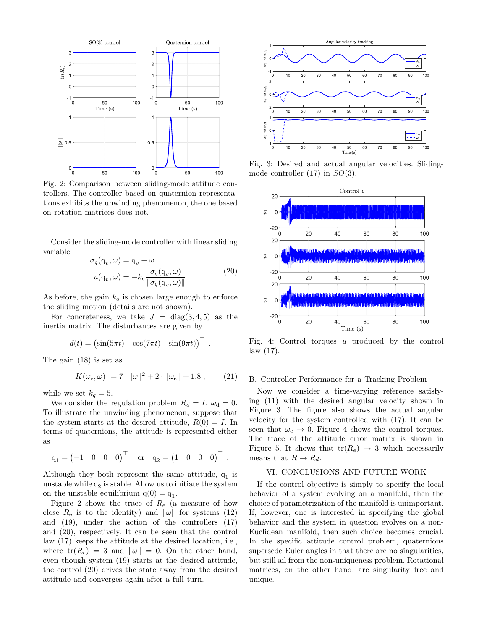

Fig. 2: Comparison between sliding-mode attitude controllers. The controller based on quaternion representations exhibits the unwinding phenomenon, the one based on rotation matrices does not.

Consider the sliding-mode controller with linear sliding variable

$$
\sigma_q(\mathbf{q}_v, \omega) = \mathbf{q}_v + \omega
$$
  

$$
u(\mathbf{q}_v, \omega) = -k_q \frac{\sigma_q(\mathbf{q}_v, \omega)}{\|\sigma_q(\mathbf{q}_v, \omega)\|}.
$$
 (20)

As before, the gain  $k_q$  is chosen large enough to enforce the sliding motion (details are not shown).

For concreteness, we take  $J = diag(3, 4, 5)$  as the inertia matrix. The disturbances are given by

$$
d(t) = \begin{pmatrix} \sin(5\pi t) & \cos(7\pi t) & \sin(9\pi t) \end{pmatrix}^\top.
$$

The gain (18) is set as

$$
K(\omega_{e}, \omega) = 7 \cdot ||\omega||^{2} + 2 \cdot ||\omega_{e}|| + 1.8 , \qquad (21)
$$

while we set  $k_q = 5$ .

We consider the regulation problem  $R_d = I$ ,  $\omega_d = 0$ . To illustrate the unwinding phenomenon, suppose that the system starts at the desired attitude,  $R(0) = I$ . In terms of quaternions, the attitude is represented either as

$$
q_1 = \begin{pmatrix} -1 & 0 & 0 & 0 \end{pmatrix}^\top \quad \text{or} \quad q_2 = \begin{pmatrix} 1 & 0 & 0 & 0 \end{pmatrix}^\top.
$$

Although they both represent the same attitude,  $q_1$  is unstable while  $q_2$  is stable. Allow us to initiate the system on the unstable equilibrium  $q(0) = q_1$ .

Figure 2 shows the trace of  $R_e$  (a measure of how close  $R_e$  is to the identity) and  $\|\omega\|$  for systems (12) and (19), under the action of the controllers (17) and (20), respectively. It can be seen that the control law (17) keeps the attitude at the desired location, i.e., where  $tr(R_e) = 3$  and  $\|\omega\| = 0$ . On the other hand, even though system (19) starts at the desired attitude, the control (20) drives the state away from the desired attitude and converges again after a full turn.



Fig. 3: Desired and actual angular velocities. Slidingmode controller (17) in *SO*(3).



Fig. 4: Control torques *u* produced by the control law (17).

### B. Controller Performance for a Tracking Problem

Now we consider a time-varying reference satisfying (11) with the desired angular velocity shown in Figure 3. The figure also shows the actual angular velocity for the system controlled with (17). It can be seen that  $\omega_e \rightarrow 0$ . Figure 4 shows the control torques. The trace of the attitude error matrix is shown in Figure 5. It shows that  $tr(R_e) \rightarrow 3$  which necessarily means that  $R \to R_d$ .

### VI. CONCLUSIONS AND FUTURE WORK

If the control objective is simply to specify the local behavior of a system evolving on a manifold, then the choice of parametrization of the manifold is unimportant. If, however, one is interested in specifying the global behavior and the system in question evolves on a non-Euclidean manifold, then such choice becomes crucial. In the specific attitude control problem, quaternions supersede Euler angles in that there are no singularities, but still ail from the non-uniqueness problem. Rotational matrices, on the other hand, are singularity free and unique.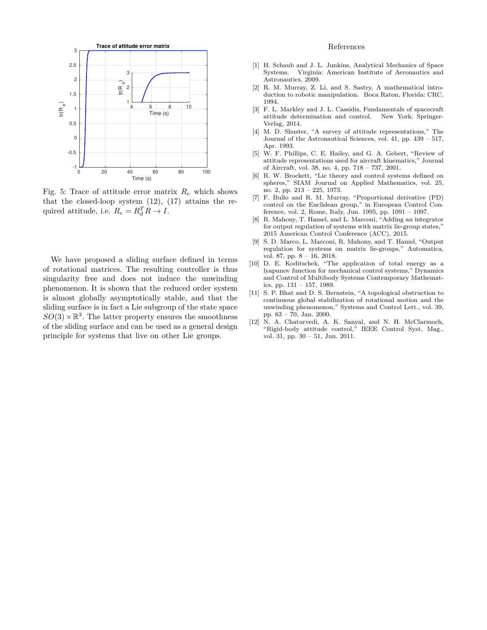

Fig. 5: Trace of attitude error matrix *R<sup>e</sup>* which shows that the closed-loop system  $(12)$ ,  $(17)$  attains the required attitude, i.e.  $R_e = R_d^T R \rightarrow I$ .

We have proposed a sliding surface defined in terms of rotational matrices. The resulting controller is thus singularity free and does not induce the unwinding phenomenon. It is shown that the reduced order system is almost globally asymptotically stable, and that the sliding surface is in fact a Lie subgroup of the state space  $SO(3) \times \mathbb{R}^3$ . The latter property ensures the smoothness of the sliding surface and can be used as a general design principle for systems that live on other Lie groups.

# References

- [1] H. Schaub and J. L. Junkins, Analytical Mechanics of Space Systems. Virginia: American Institute of Aeronautics and Astronautics, 2009.
- [2] R. M. Murray, Z. Li, and S. Sastry, A mathematical introduction to robotic manipulation. Boca Raton, Florida: CRC, 1994.
- [3] F. L. Markley and J. L. Cassidis, Fundamentals of spacecraft attitude determination and control. New York: Springer-Verlag, 2014.
- [4] M. D. Shuster, "A survey of attitude representations," The Journal of the Astronautical Sciences, vol. 41, pp. 439 – 517, Apr. 1993.
- [5] W. F. Phillips, C. E. Hailey, and G. A. Gebert, "Review of attitude representations used for aircraft kinematics," Journal of Aircraft, vol. 38, no. 4, pp. 718 – 737, 2001.
- [6] R. W. Brockett, "Lie theory and control systems defined on spheres," SIAM Journal on Applied Mathematics, vol. 25, no. 2, pp. 213 – 225, 1973.
- [7] F. Bullo and R. M. Murray, "Proportional derivative (PD) control on the Euclidean group," in European Control Conference, vol. 2, Rome, Italy, Jun. 1995, pp. 1091 – 1097.
- [8] R. Mahony, T. Hamel, and L. Marconi, "Adding an integrator for output regulation of systems with matrix lie-group states,' 2015 American Control Conference (ACC), 2015.
- [9] S. D. Marco, L. Marconi, R. Mahony, and T. Hamel, "Output regulation for systems on matrix lie-groups," Automatica, vol. 87, pp. 8 – 16, 2018.
- [10] D. E. Koditschek, "The application of total energy as a lyapunov function for mechanical control systems," Dynamics and Control of Multibody Systems Contemporary Mathematics, pp. 131 – 157, 1989.
- [11] S. P. Bhat and D. S. Bernstein, "A topological obstruction to continuous global stabilization of rotational motion and the unwinding phenomenon," Systems and Control Lett., vol. 39, pp. 63 – 70, Jan. 2000.
- [12] N. A. Chaturvedi, A. K. Sanyal, and N. H. McClarmoch, "Rigid-body attitude control," IEEE Control Syst. Mag., vol. 31, pp. 30 – 51, Jun. 2011.